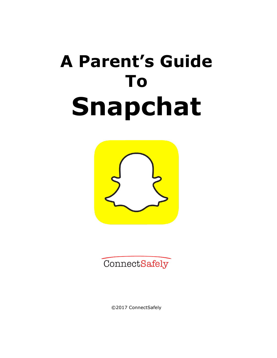# **A Parent's Guide To Snapchat**





©2017 ConnectSafely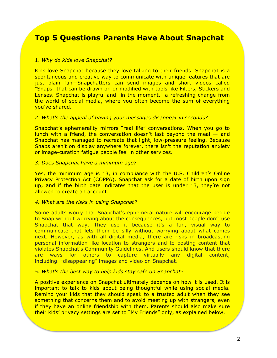# **Top 5 Questions Parents Have About Snapchat**

#### 1. *Why do kids love Snapchat?*

Kids love Snapchat because they love talking to their friends. Snapchat is a spontaneous and creative way to communicate with unique features that are just plain fun—Snapchatters can send images and short videos called "Snaps" that can be drawn on or modified with tools like Filters, Stickers and Lenses. Snapchat is playful and "in the moment," a refreshing change from the world of social media, where you often become the sum of everything you've shared.

#### *2. What's the appeal of having your messages disappear in seconds?*

Snapchat's ephemerality mirrors "real life" conversations. When you go to lunch with a friend, the conversation doesn't last beyond the meal  $-$  and Snapchat has managed to recreate that light, low-pressure feeling. Because Snaps aren't on display anywhere forever, there isn't the reputation anxiety or image-curation fatigue people feel in other services.

#### *3. Does Snapchat have a minimum age?*

Yes, the minimum age is 13, in compliance with the U.S. Children's Online Privacy Protection Act (COPPA). Snapchat ask for a date of birth upon sign up, and if the birth date indicates that the user is under 13, they're not allowed to create an account.

#### *4. What are the risks in using Snapchat?*

Some adults worry that Snapchat's ephemeral nature will encourage people to Snap without worrying about the consequences, but most people don't use Snapchat that way. They use it because it's a fun, visual way to communicate that lets them be silly without worrying about what comes next. However, as with all digital media, there are risks in broadcasting personal information like location to strangers and to posting content that violates Snapchat's Community Guidelines. And users should know that there are ways for others to capture virtually any digital content, including "disappearing" images and video on Snapchat.

#### *5. What's the best way to help kids stay safe on Snapchat?*

A positive experience on Snapchat ultimately depends on how it is used. It is important to talk to kids about being thoughtful while using social media. Remind your kids that they should speak to a trusted adult when they see something that concerns them and to avoid meeting up with strangers, even if they have an online friendship with them. Parents should also make sure their kids' privacy settings are set to "My Friends" only, as explained below.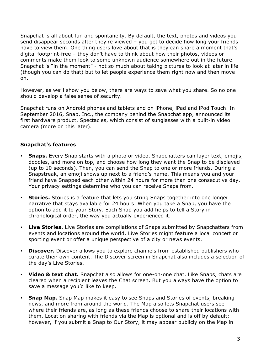Snapchat is all about fun and spontaneity. By default, the text, photos and videos you send disappear seconds after they're viewed – you get to decide how long your friends have to view them. One thing users love about that is they can share a moment that's digital footprint-free – they don't have to think about how their photos, videos or comments make them look to some unknown audience somewhere out in the future. Snapchat is "in the moment" - not so much about taking pictures to look at later in life (though you can do that) but to let people experience them right now and then move on.

However, as we'll show you below, there are ways to save what you share. So no one should develop a false sense of security.

Snapchat runs on Android phones and tablets and on iPhone, iPad and iPod Touch. In September 2016, Snap, Inc., the company behind the Snapchat app, announced its first hardware product, Spectacles, which consist of sunglasses with a built-in video camera (more on this later).

## **Snapchat's features**

- **Snaps.** Every Snap starts with a photo or video. Snapchatters can layer text, emojis, doodles, and more on top, and choose how long they want the Snap to be displayed (up to 10 seconds). Then, you can send the Snap to one or more friends. During a Snapstreak, an emoji shows up next to a friend's name. This means you and your friend have Snapped each other within 24 hours for more than one consecutive day. Your privacy settings determine who you can receive Snaps from.
- **Stories.** Stories is a feature that lets you string Snaps together into one longer narrative that stays available for 24 hours. When you take a Snap, you have the option to add it to your Story. Each Snap you add helps to tell a Story in chronological order, the way you actually experienced it.
- **Live Stories.** Live Stories are compilations of Snaps submitted by Snapchatters from events and locations around the world. Live Stories might feature a local concert or sporting event or offer a unique perspective of a city or news events.
- **Discover.** Discover allows you to explore channels from established publishers who curate their own content. The Discover screen in Snapchat also includes a selection of the day's Live Stories.
- **Video & text chat.** Snapchat also allows for one-on-one chat. Like Snaps, chats are cleared when a recipient leaves the Chat screen. But you always have the option to save a message you'd like to keep.
- **Snap Map.** Snap Map makes it easy to see Snaps and Stories of events, breaking news, and more from around the world. The Map also lets Snapchat users see where their friends are, as long as these friends choose to share their locations with them. Location sharing with friends via the Map is optional and is off by default; however, if you submit a Snap to Our Story, it may appear publicly on the Map in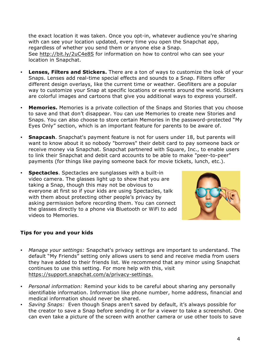the exact location it was taken. Once you opt-in, whatever audience you're sharing with can see your location updated, every time you open the Snapchat app, regardless of whether you send them or anyone else a Snap. See http://bit.ly/2uC4e8S for information on how to control who can see your location in Snapchat.

- **Lenses, Filters and Stickers.** There are a ton of ways to customize the look of your Snaps. Lenses add real-time special effects and sounds to a Snap. Filters offer different design overlays, like the current time or weather. Geofilters are a popular way to customize your Snap at specific locations or events around the world. Stickers are colorful images and cartoons that give you additional ways to express yourself.
- **Memories.** Memories is a private collection of the Snaps and Stories that you choose to save and that don't disappear. You can use Memories to create new Stories and Snaps. You can also choose to store certain Memories in the password-protected "My Eyes Only" section, which is an important feature for parents to be aware of.
- **Snapcash**. Snapchat's payment feature is not for users under 18, but parents will want to know about it so nobody "borrows" their debit card to pay someone back or receive money via Snapchat. Snapchat partnered with Square, Inc., to enable users to link their Snapchat and debit card accounts to be able to make "peer-to-peer" payments (for things like paying someone back for movie tickets, lunch, etc.).
- **Spectacles**. Spectacles are sunglasses with a built-in video camera. The glasses light up to show that you are taking a Snap, though this may not be obvious to everyone at first so if your kids are using Spectacles, talk with them about protecting other people's privacy by asking permission before recording them. You can connect the glasses directly to a phone via Bluetooth or WiFi to add videos to Memories.



# **Tips for you and your kids**

- *Manage your settings:* Snapchat's privacy settings are important to understand. The default "My Friends" setting only allows users to send and receive media from users they have added to their friends list. We recommend that any minor using Snapchat continues to use this setting. For more help with this, visit https://support.snapchat.com/a/privacy-settings.
- *Personal information:* Remind your kids to be careful about sharing any personally identifiable information. Information like phone number, home address, financial and medical information should never be shared.
- *Saving Snaps:* Even though Snaps aren't saved by default, it's always possible for the creator to save a Snap before sending it or for a viewer to take a screenshot. One can even take a picture of the screen with another camera or use other tools to save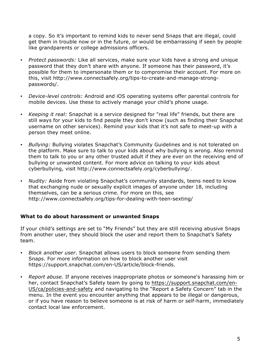a copy. So it's important to remind kids to never send Snaps that are illegal, could get them in trouble now or in the future, or would be embarrassing if seen by people like grandparents or college admissions officers.

- *Protect passwords:* Like all services, make sure your kids have a strong and unique password that they don't share with anyone. If someone has their password, it's possible for them to impersonate them or to compromise their account. For more on this, visit http://www.connectsafely.org/tips-to-create-and-manage-strongpasswords/.
- *Device-level controls:* Android and iOS operating systems offer parental controls for mobile devices. Use these to actively manage your child's phone usage.
- *Keeping it real:* Snapchat is a service designed for "real life" friends, but there are still ways for your kids to find people they don't know (such as finding their Snapchat username on other services). Remind your kids that it's not safe to meet-up with a person they meet online.
- *Bullying:* Bullying violates Snapchat's Community Guidelines and is not tolerated on the platform. Make sure to talk to your kids about why bullying is wrong. Also remind them to talk to you or any other trusted adult if they are ever on the receiving end of bullying or unwanted content. For more advice on talking to your kids about cyberbullying, visit http://www.connectsafely.org/cyberbullying/.
- *Nudity:* Aside from violating Snapchat's community standards, teens need to know that exchanging nude or sexually explicit images of anyone under 18, including themselves, can be a serious crime. For more on this, see http://www.connectsafely.org/tips-for-dealing-with-teen-sexting/

# **What to do about harassment or unwanted Snaps**

If your child's settings are set to "My Friends" but they are still receiving abusive Snaps from another user, they should block the user and report them to Snapchat's Safety team.

- *Block another user*. Snapchat allows users to block someone from sending them Snaps. For more information on how to block another user visit https://support.snapchat.com/en-US/article/block-friends.
- *Report abuse.* If anyone receives inappropriate photos or someone's harassing him or her, contact Snapchat's Safety team by going to https://support.snapchat.com/en-US/ca/policies-and-safety and navigating to the "Report a Safety Concern" tab in the menu. In the event you encounter anything that appears to be illegal or dangerous, or if you have reason to believe someone is at risk of harm or self-harm, immediately contact local law enforcement.